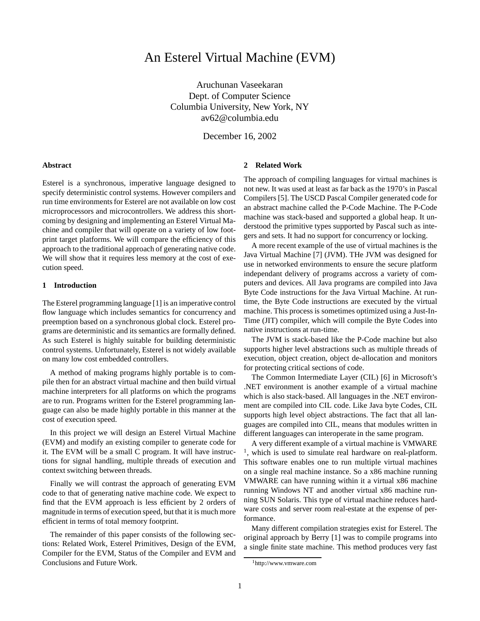# An Esterel Virtual Machine (EVM)

Aruchunan Vaseekaran Dept. of Computer Science Columbia University, New York, NY av62@columbia.edu

December 16, 2002

#### **Abstract**

Esterel is a synchronous, imperative language designed to specify deterministic control systems. However compilers and run time environments for Esterel are not available on low cost microprocessors and microcontrollers. We address this shortcoming by designing and implementing an Esterel Virtual Machine and compiler that will operate on a variety of low footprint target platforms. We will compare the efficiency of this approach to the traditional approach of generating native code. We will show that it requires less memory at the cost of execution speed.

#### **1 Introduction**

The Esterel programming language [1] is an imperative control flow language which includes semantics for concurrency and preemption based on a synchronous global clock. Esterel programs are deterministic and its semantics are formally defined. As such Esterel is highly suitable for building deterministic control systems. Unfortunately, Esterel is not widely available on many low cost embedded controllers.

A method of making programs highly portable is to compile then for an abstract virtual machine and then build virtual machine interpreters for all platforms on which the programs are to run. Programs written for the Esterel programming language can also be made highly portable in this manner at the cost of execution speed.

In this project we will design an Esterel Virtual Machine (EVM) and modify an existing compiler to generate code for it. The EVM will be a small C program. It will have instructions for signal handling, multiple threads of execution and context switching between threads.

Finally we will contrast the approach of generating EVM code to that of generating native machine code. We expect to find that the EVM approach is less efficient by 2 orders of magnitude in terms of execution speed, but that it is much more efficient in terms of total memory footprint.

The remainder of this paper consists of the following sections: Related Work, Esterel Primitives, Design of the EVM, Compiler for the EVM, Status of the Compiler and EVM and Conclusions and Future Work.

#### **2 Related Work**

The approach of compiling languages for virtual machines is not new. It was used at least as far back as the 1970's in Pascal Compilers [5]. The USCD Pascal Compiler generated code for an abstract machine called the P-Code Machine. The P-Code machine was stack-based and supported a global heap. It understood the primitive types supported by Pascal such as integers and sets. It had no support for concurrency or locking.

A more recent example of the use of virtual machines is the Java Virtual Machine [7] (JVM). THe JVM was designed for use in networked environments to ensure the secure platform independant delivery of programs accross a variety of computers and devices. All Java programs are compiled into Java Byte Code instructions for the Java Virtual Machine. At runtime, the Byte Code instructions are executed by the virtual machine. This process is sometimes optimized using a Just-In-Time (JIT) compiler, which will compile the Byte Codes into native instructions at run-time.

The JVM is stack-based like the P-Code machine but also supports higher level abstractions such as multiple threads of execution, object creation, object de-allocation and monitors for protecting critical sections of code.

The Common Intermediate Layer (CIL) [6] in Microsoft's .NET environment is another example of a virtual machine which is also stack-based. All languages in the .NET environment are compiled into CIL code. Like Java byte Codes, CIL supports high level object abstractions. The fact that all languages are compiled into CIL, means that modules written in different languages can interoperate in the same program.

A very different example of a virtual machine is VMWARE <sup>1</sup>, which is used to simulate real hardware on real-platform. This software enables one to run multiple virtual machines on a single real machine instance. So a x86 machine running VMWARE can have running within it a virtual x86 machine running Windows NT and another virtual x86 machine running SUN Solaris. This type of virtual machine reduces hardware costs and server room real-estate at the expense of performance.

Many different compilation strategies exist for Esterel. The original approach by Berry [1] was to compile programs into a single finite state machine. This method produces very fast

<sup>1</sup>http://www.vmware.com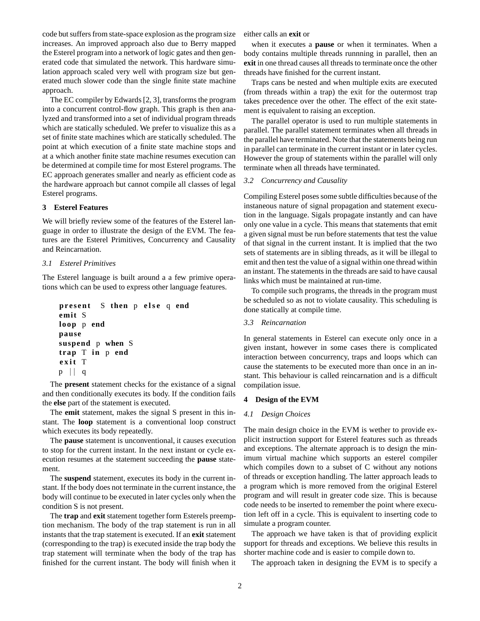code but suffers from state-space explosion as the program size increases. An improved approach also due to Berry mapped the Esterel program into a network of logic gates and then generated code that simulated the network. This hardware simulation approach scaled very well with program size but generated much slower code than the single finite state machine approach.

The EC compiler by Edwards [2, 3], transforms the program into a concurrent control-flow graph. This graph is then analyzed and transformed into a set of individual program threads which are statically scheduled. We prefer to visualize this as a set of finite state machines which are statically scheduled. The point at which execution of a finite state machine stops and at a which another finite state machine resumes execution can be determined at compile time for most Esterel programs. The EC approach generates smaller and nearly as efficient code as the hardware approach but cannot compile all classes of legal Esterel programs.

## **3 Esterel Features**

We will briefly review some of the features of the Esterel language in order to illustrate the design of the EVM. The features are the Esterel Primitives, Concurrency and Causality and Reincarnation.

## *3.1 Esterel Primitives*

The Esterel language is built around a a few primive operations which can be used to express other language features.

```
pr e s ent S then p e ls e q end
emit S
loop p end
pause
suspend p when S
trap T in p end
e x i t T
p \mid q
```
The **present** statement checks for the existance of a signal and then conditionally executes its body. If the condition fails the **else** part of the statement is executed.

The **emit** statement, makes the signal S present in this instant. The **loop** statement is a conventional loop construct which executes its body repeatedly.

The **pause** statement is unconventional, it causes execution to stop for the current instant. In the next instant or cycle execution resumes at the statement succeeding the **pause** statement.

The **suspend** statement, executes its body in the current instant. If the body does not terminate in the current instance, the body will continue to be executed in later cycles only when the condition S is not present.

The **trap** and **exit** statement together form Esterels preemption mechanism. The body of the trap statement is run in all instants that the trap statement is executed. If an **exit** statement (corresponding to the trap) is executed inside the trap body the trap statement will terminate when the body of the trap has finished for the current instant. The body will finish when it either calls an **exit** or

when it executes a **pause** or when it terminates. When a body contains multiple threads runnning in parallel, then an **exit** in one thread causes all threads to terminate once the other threads have finished for the current instant.

Traps cans be nested and when multiple exits are executed (from threads within a trap) the exit for the outermost trap takes precedence over the other. The effect of the exit statement is equivalent to raising an exception.

The parallel operator is used to run multiple statements in parallel. The parallel statement terminates when all threads in the parallel have terminated. Note that the statements being run in parallel can terminate in the current instant or in later cycles. However the group of statements within the parallel will only terminate when all threads have terminated.

### *3.2 Concurrency and Causality*

Compiling Esterel poses some subtle difficulties because of the instaneous nature of signal propagation and statement execution in the language. Sigals propagate instantly and can have only one value in a cycle. This means that statements that emit a given signal must be run before statements that test the value of that signal in the current instant. It is implied that the two sets of statements are in sibling threads, as it will be illegal to emit and then test the value of a signal within one thread within an instant. The statements in the threads are said to have causal links which must be maintained at run-time.

To compile such programs, the threads in the program must be scheduled so as not to violate causality. This scheduling is done statically at compile time.

## *3.3 Reincarnation*

In general statements in Esterel can execute only once in a given instant, however in some cases there is complicated interaction between concurrency, traps and loops which can cause the statements to be executed more than once in an instant. This behaviour is called reincarnation and is a difficult compilation issue.

#### **4 Design of the EVM**

#### *4.1 Design Choices*

The main design choice in the EVM is wether to provide explicit instruction support for Esterel features such as threads and exceptions. The alternate approach is to design the minimum virtual machine which supports an esterel compiler which compiles down to a subset of C without any notions of threads or exception handling. The latter approach leads to a program which is more removed from the original Esterel program and will result in greater code size. This is because code needs to be inserted to remember the point where execution left off in a cycle. This is equivalent to inserting code to simulate a program counter.

The approach we have taken is that of providing explicit support for threads and exceptions. We believe this results in shorter machine code and is easier to compile down to.

The approach taken in designing the EVM is to specify a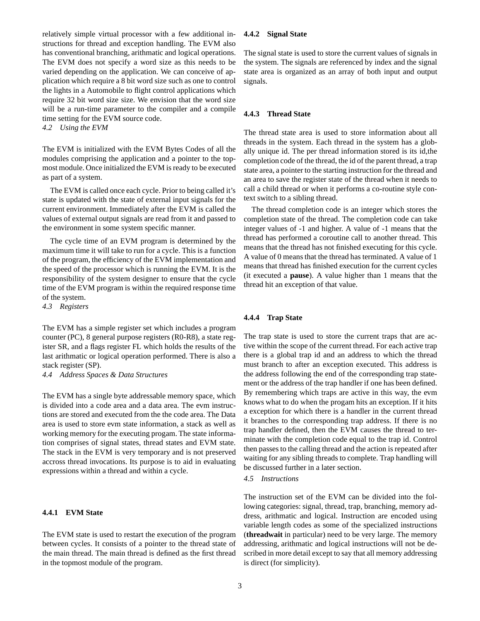relatively simple virtual processor with a few additional instructions for thread and exception handling. The EVM also has conventional branching, arithmatic and logical operations. The EVM does not specify a word size as this needs to be varied depending on the application. We can conceive of application which require a 8 bit word size such as one to control the lights in a Automobile to flight control applications which require 32 bit word size size. We envision that the word size will be a run-time parameter to the compiler and a compile time setting for the EVM source code.

*4.2 Using the EVM*

The EVM is initialized with the EVM Bytes Codes of all the modules comprising the application and a pointer to the topmost module. Once initialized the EVM is ready to be executed as part of a system.

The EVM is called once each cycle. Prior to being called it's state is updated with the state of external input signals for the current environment. Immediately after the EVM is called the values of external output signals are read from it and passed to the environment in some system specific manner.

The cycle time of an EVM program is determined by the maximum time it will take to run for a cycle. This is a function of the program, the efficiency of the EVM implementation and the speed of the processor which is running the EVM. It is the responsibility of the system designer to ensure that the cycle time of the EVM program is within the required response time of the system.

*4.3 Registers*

The EVM has a simple register set which includes a program counter (PC), 8 general purpose registers (R0-R8), a state register SR, and a flags register FL which holds the results of the last arithmatic or logical operation performed. There is also a stack register (SP).

*4.4 Address Spaces & Data Structures*

The EVM has a single byte addressable memory space, which is divided into a code area and a data area. The evm instructions are stored and executed from the the code area. The Data area is used to store evm state information, a stack as well as working memory for the executing progam. The state information comprises of signal states, thread states and EVM state. The stack in the EVM is very temporary and is not preserved accross thread invocations. Its purpose is to aid in evaluating expressions within a thread and within a cycle.

## **4.4.1 EVM State**

The EVM state is used to restart the execution of the program between cycles. It consists of a pointer to the thread state of the main thread. The main thread is defined as the first thread in the topmost module of the program.

## **4.4.2 Signal State**

The signal state is used to store the current values of signals in the system. The signals are referenced by index and the signal state area is organized as an array of both input and output signals.

#### **4.4.3 Thread State**

The thread state area is used to store information about all threads in the system. Each thread in the system has a globally unique id. The per thread information stored is its id,the completion code of the thread, the id of the parent thread, a trap state area, a pointer to the starting instruction for the thread and an area to save the register state of the thread when it needs to call a child thread or when it performs a co-routine style context switch to a sibling thread.

The thread completion code is an integer which stores the completion state of the thread. The completion code can take integer values of -1 and higher. A value of -1 means that the thread has performed a coroutine call to another thread. This means that the thread has not finished executing for this cycle. A value of 0 means that the thread has terminated. A value of 1 means that thread has finished execution for the current cycles (it executed a **pause**). A value higher than 1 means that the thread hit an exception of that value.

## **4.4.4 Trap State**

The trap state is used to store the current traps that are active within the scope of the current thread. For each active trap there is a global trap id and an address to which the thread must branch to after an exception executed. This address is the address following the end of the corresponding trap statement or the address of the trap handler if one has been defined. By remembering which traps are active in this way, the evm knows what to do when the progam hits an exception. If it hits a exception for which there is a handler in the current thread it branches to the corresponding trap address. If there is no trap handler defined, then the EVM causes the thread to terminate with the completion code equal to the trap id. Control then passes to the calling thread and the action is repeated after waiting for any sibling threads to complete. Trap handling will be discussed further in a later section.

## *4.5 Instructions*

The instruction set of the EVM can be divided into the following categories: signal, thread, trap, branching, memory address, arithmatic and logical. Instruction are encoded using variable length codes as some of the specialized instructions (**threadwait** in particular) need to be very large. The memory addressing, arithmatic and logical instructions will not be described in more detail except to say that all memory addressing is direct (for simplicity).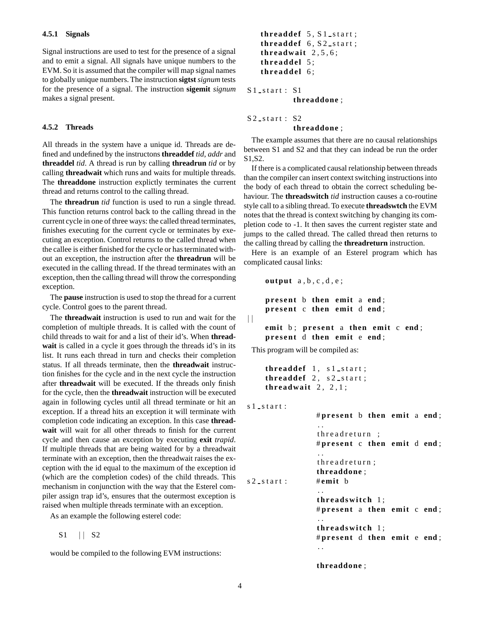Signal instructions are used to test for the presence of a signal and to emit a signal. All signals have unique numbers to the EVM. So it is assumed that the compiler will map signal names to globally unique numbers. The instruction **sigtst** *signum* tests for the presence of a signal. The instruction **sigemit** *signum* makes a signal present.

#### **4.5.2 Threads**

All threads in the system have a unique id. Threads are defined and undefined by the instructons **threaddef** *tid*, *addr* and **threaddel** *tid*. A thread is run by calling **threadrun** *tid* or by calling **threadwait** which runs and waits for multiple threads. The **threaddone** instruction explictly terminates the current thread and returns control to the calling thread.

The **threadrun** *tid* function is used to run a single thread. This function returns control back to the calling thread in the current cycle in one of three ways: the called thread terminates, finishes executing for the current cycle or terminates by executing an exception. Control returns to the called thread when the callee is either finished for the cycle or hasterminated without an exception, the instruction after the **threadrun** will be executed in the calling thread. If the thread terminates with an exception, then the calling thread will throw the corresponding exception.

The **pause** instruction is used to stop the thread for a current cycle. Control goes to the parent thread.

The **threadwait** instruction is used to run and wait for the completion of multiple threads. It is called with the count of child threads to wait for and a list of their id's. When **threadwait** is called in a cycle it goes through the threads id's in its list. It runs each thread in turn and checks their completion status. If all threads terminate, then the **threadwait** instruction finishes for the cycle and in the next cycle the instruction after **threadwait** will be executed. If the threads only finish for the cycle, then the **threadwait** instruction will be executed again in following cycles until all thread terminate or hit an exception. If a thread hits an exception it will terminate with completion code indicating an exception. In this case **threadwait** will wait for all other threads to finish for the current cycle and then cause an exception by executing **exit** *trapid*. If multiple threads that are being waited for by a threadwait terminate with an exception, then the threadwait raises the exception with the id equal to the maximum of the exception id (which are the completion codes) of the child threads. This mechanism in conjunction with the way that the Esterel compiler assign trap id's, ensures that the outermost exception is raised when multiple threads terminate with an exception.

As an example the following esterel code:

S1 | | S2

would be compiled to the following EVM instructions:

```
threaddef 5, S1_start;
threaddef 6, S2_start;
thr eadwait 2 , 5 , 6 ;
thr e adde l 5 ;
threaddel 6;
```
S1\_start: S1 **threaddone** ;

 $S2$ -start :  $S2$ **threaddone** ;

The example assumes that there are no causal relationships between S1 and S2 and that they can indead be run the order S1,S2.

If there is a complicated causal relationship between threads than the compiler can insert context switching instructions into the body of each thread to obtain the correct scheduling behaviour. The **threadswitch** *tid* instruction causes a co-routine style call to a sibling thread. To execute **threadswtch** the EVM notes that the thread is context switching by changing its completion code to -1. It then saves the current register state and jumps to the called thread. The called thread then returns to the calling thread by calling the **threadreturn** instruction.

Here is an example of an Esterel program which has complicated causal links:

```
output a , b , c , d , e ;
```
**pr e s ent** b **then emit** a **end** ; **pr e s ent** c **then emit** d **end** ;

**emit** b ; **pr e s ent** a **then emit** c **end** ; **pr e s ent** d **then emit** e **end** ;

This program will be compiled as:

```
threaddef 1, s1 start;
threaddef 2, s2_start;
thr eadwait 2 , 2 , 1 ;
```
 $s1$  start:

 $\Box$ 

|              | #present b then emit a end;                           |
|--------------|-------------------------------------------------------|
|              | threadreturn:<br>#present $c$ then emit $d$ end;      |
| s 2 _start : | threadreturn;<br>threaddone;<br>$#$ emit b            |
|              | threadswitch 1;<br>#present a then emit c end;        |
|              | . .<br>threadswitch 1;<br>#present d then emit e end; |
|              | threaddone:                                           |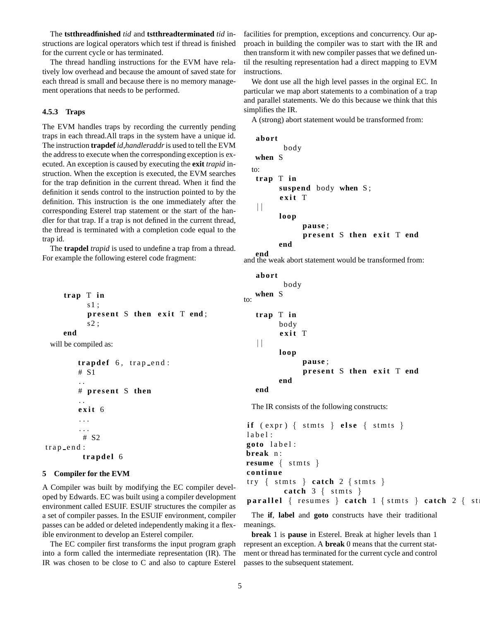The **tstthreadfinished** *tid* and **tstthreadterminated** *tid* instructions are logical operators which test if thread is finished for the current cycle or has terminated.

The thread handling instructions for the EVM have relatively low overhead and because the amount of saved state for each thread is small and because there is no memory management operations that needs to be performed.

### **4.5.3 Traps**

The EVM handles traps by recording the currently pending traps in each thread.All traps in the system have a unique id. The instruction **trapdef** *id*,*handleraddr*is used to tell the EVM the address to execute when the corresponding exception is executed. An exception is caused by executing the **exit** *trapid* instruction. When the exception is executed, the EVM searches for the trap definition in the current thread. When it find the definition it sends control to the instruction pointed to by the definition. This instruction is the one immediately after the corresponding Esterel trap statement or the start of the handler for that trap. If a trap is not defined in the current thread, the thread is terminated with a completion code equal to the trap id.

The **trapdel** *trapid* is used to undefine a trap from a thread. For example the following esterel code fragment:

```
trap T in
      s1 ;
      pr e s ent S then e x i t T end ;
      s2 ;
end
```
will be compiled as:

```
t r apde f 6 , tr a p e n d :
          # S1
           . .
          # pr e s ent S then
          . .
          e x i t 6
          . . .
          . . .
           # S2
trap end :
           t r apde l 6
```
## **5 Compiler for the EVM**

A Compiler was built by modifying the EC compiler developed by Edwards. EC was built using a compiler development environment called ESUIF. ESUIF structures the compiler as a set of compiler passes. In the ESUIF environment, compiler passes can be added or deleted independently making it a flexible environment to develop an Esterel compiler.

The EC compiler first transforms the input program graph into a form called the intermediate representation (IR). The IR was chosen to be close to C and also to capture Esterel facilities for premption, exceptions and concurrency. Our approach in building the compiler was to start with the IR and then transform it with new compiler passes that we defined until the resulting representation had a direct mapping to EVM instructions.

We dont use all the high level passes in the orginal EC. In particular we map abort statements to a combination of a trap and parallel statements. We do this because we think that this simplifies the IR.

A (strong) abort statement would be transformed from:

```
abort
        body
 when S
to:
 trap T in
       suspend body when S ;
       e x i t T
 \Boxloop
             pause ;
             pr e s ent S then e x i t T end
       end
```
**end** and the weak abort statement would be transformed from:

```
abort
           body
   when S
to:
   trap T in
         body
         e x i t T
   \Boxloop
                pause ;
                pr e s ent S then e x i t T end
         end
   end
```
The IR consists of the following constructs:

```
i f ( expr ) { stmts } e ls e { stmts }
label:
goto l a b e l :
break n :
resume { stmts }
continue
try \{stms \} catch 2 {stms}catch 3 { stmts }
parallel { resumes } catch 1 { stmts } catch 2 { st
```
The **if**, **label** and **goto** constructs have their traditional meanings.

**break** 1 is **pause** in Esterel. Break at higher levels than 1 represent an exception. A **break** 0 means that the current statment or thread has terminated for the current cycle and control passes to the subsequent statement.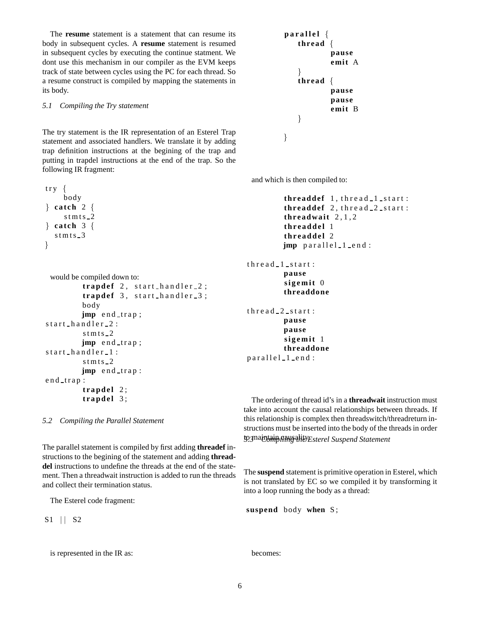The **resume** statement is a statement that can resume its body in subsequent cycles. A **resume** statement is resumed in subsequent cycles by executing the continue statment. We dont use this mechanism in our compiler as the EVM keeps track of state between cycles using the PC for each thread. So a resume construct is compiled by mapping the statements in its body.

## *5.1 Compiling the Try statement*

The try statement is the IR representation of an Esterel Trap statement and associated handlers. We translate it by adding trap definition instructions at the begining of the trap and putting in trapdel instructions at the end of the trap. So the following IR fragment:

```
try \{body
} cat ch 2 {
     st m ts -2\} catch 3 {
  st m ts -3}
```

```
would be compiled down to:
         t r apde f 2 , s t a r t h a n d l e r 2 ;
         t r apde f 3 , s t a r t h a n d l e r 3 ;
         body
         jmp end_trap;
start_handler_2:
         stmts_2jmp end trap;
start_handler_1:
         st m ts -2jmp end_trap:
end trap:

         t r apde l 3 ;
```
*5.2 Compiling the Parallel Statement*

The parallel statement is compiled by first adding **threadef** instructions to the begining of the statement and adding **threaddel** instructions to undefine the threads at the end of the statement. Then a threadwait instruction is added to run the threads and collect their termination status.

```
The Esterel code fragment:
```
S1 | | S2

```
is represented in the IR as:
```

```
p a r a l l e l {
    thread {
             pause
             emit A
    }
    thread {
             pause
             pause
             emit B
    }
}
```
and which is then compiled to:

```
threaddef 1, thread 1 start:
threaddef 2, thread 2-start:
thr eadwait 2 , 1 , 2
thr e adde l 1
thr e adde l 2
jmp parallel_1_end:
```

```
thread_1_stat:pause
         si g e m it 0
         threaddone
thread 2 start:
         pause
         pause
         si g e m it 1
         threaddone
```

```
parallel_1_end:
```
The ordering of thread id's in a **threadwait** instruction must take into account the causal relationships between threads. If this relationship is complex then threadswitch/threadreturn instructions must be inserted into the body of the threads in order to*5.3*maintain *Compiling* causality. *the Esterel Suspend Statement*

The **suspend** statement is primitive operation in Esterel, which is not translated by EC so we compiled it by transforming it into a loop running the body as a thread:

```
suspend body when S ;
```
becomes: